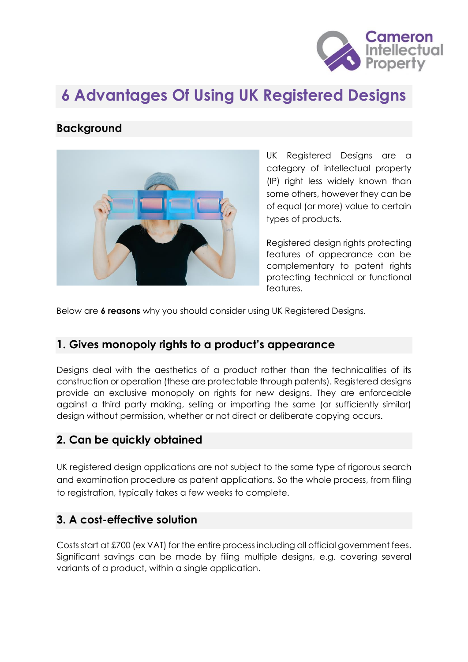

# **6 Advantages Of Using UK Registered Designs**

#### **Background**



UK Registered Designs are a category of intellectual property (IP) right less widely known than some others, however they can be of equal (or more) value to certain types of products.

Registered design rights protecting features of appearance can be complementary to patent rights protecting technical or functional features.

Below are **6 reasons** why you should consider using UK Registered Designs.

### **1. Gives monopoly rights to a product's appearance**

Designs deal with the aesthetics of a product rather than the technicalities of its construction or operation (these are protectable through patents). Registered designs provide an exclusive monopoly on rights for new designs. They are enforceable against a third party making, selling or importing the same (or sufficiently similar) design without permission, whether or not direct or deliberate copying occurs.

#### **2. Can be quickly obtained**

UK registered design applications are not subject to the same type of rigorous search and examination procedure as patent applications. So the whole process, from filing to registration, typically takes a few weeks to complete.

#### **3. A cost-effective solution**

Costs start at £700 (ex VAT) for the entire process including all official government fees. Significant savings can be made by filing multiple designs, e.g. covering several variants of a product, within a single application.